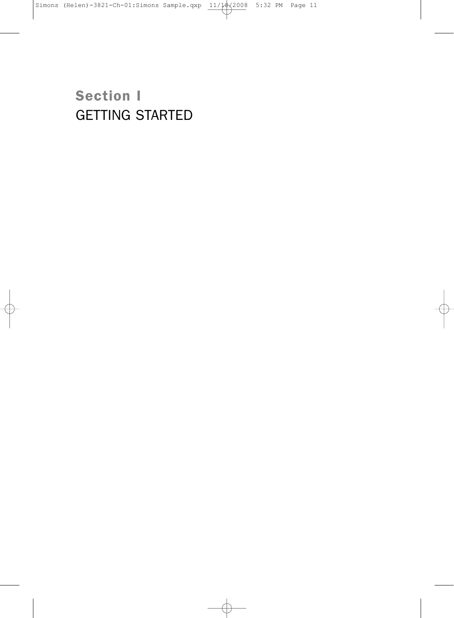# **Section I** GETTING STARTED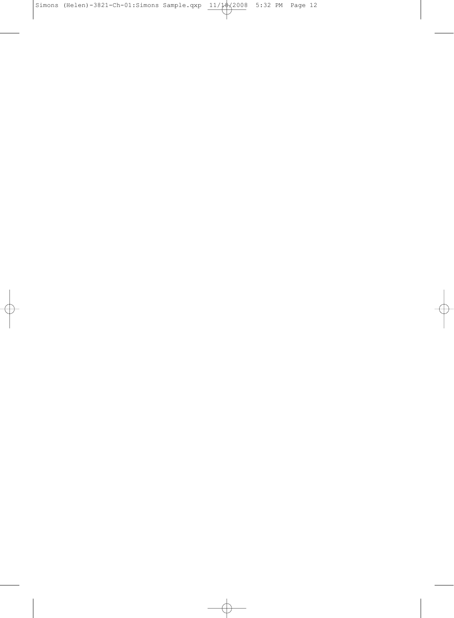$\overline{\varphi}$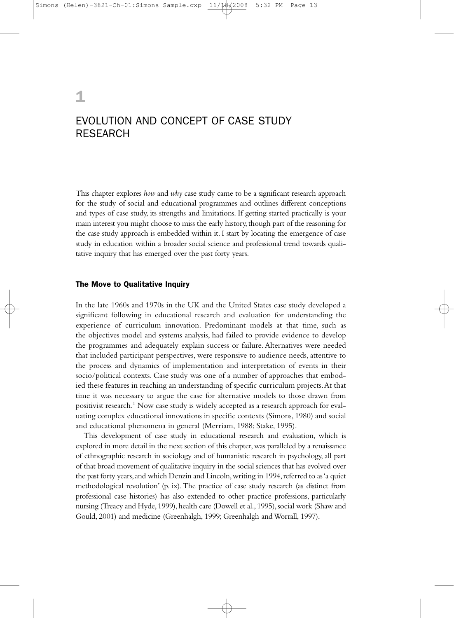**1**

# EVOLUTION AND CONCEPT OF CASE STUDY RESEARCH

This chapter explores *how* and *why* case study came to be a significant research approach for the study of social and educational programmes and outlines different conceptions and types of case study, its strengths and limitations. If getting started practically is your main interest you might choose to miss the early history,though part of the reasoning for the case study approach is embedded within it. I start by locating the emergence of case study in education within a broader social science and professional trend towards qualitative inquiry that has emerged over the past forty years.

# **The Move to Qualitative Inquiry**

In the late 1960s and 1970s in the UK and the United States case study developed a significant following in educational research and evaluation for understanding the experience of curriculum innovation. Predominant models at that time, such as the objectives model and systems analysis, had failed to provide evidence to develop the programmes and adequately explain success or failure. Alternatives were needed that included participant perspectives, were responsive to audience needs, attentive to the process and dynamics of implementation and interpretation of events in their socio/political contexts. Case study was one of a number of approaches that embodied these features in reaching an understanding of specific curriculum projects.At that time it was necessary to argue the case for alternative models to those drawn from positivist research. <sup>1</sup> Now case study is widely accepted as a research approach for evaluating complex educational innovations in specific contexts (Simons, 1980) and social and educational phenomena in general (Merriam, 1988; Stake, 1995).

This development of case study in educational research and evaluation, which is explored in more detail in the next section of this chapter, was paralleled by a renaissance of ethnographic research in sociology and of humanistic research in psychology, all part of that broad movement of qualitative inquiry in the social sciences that has evolved over the past forty years, and which Denzin and Lincoln, writing in 1994, referred to as 'a quiet methodological revolution' (p. ix).The practice of case study research (as distinct from professional case histories) has also extended to other practice professions, particularly nursing (Treacy and Hyde, 1999), health care (Dowell et al., 1995), social work (Shaw and Gould, 2001) and medicine (Greenhalgh, 1999; Greenhalgh andWorrall, 1997).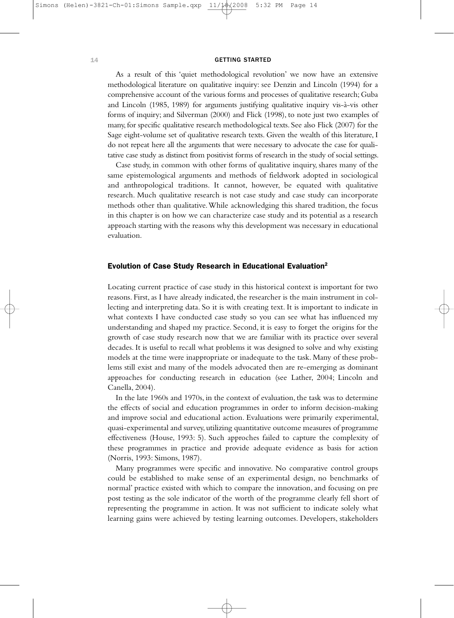As a result of this 'quiet methodological revolution' we now have an extensive methodological literature on qualitative inquiry: see Denzin and Lincoln (1994) for a comprehensive account of the various forms and processes of qualitative research; Guba and Lincoln (1985, 1989) for arguments justifying qualitative inquiry vis-à-vis other forms of inquiry; and Silverman (2000) and Flick (1998), to note just two examples of many, for specific qualitative research methodological texts. See also Flick (2007) for the Sage eight-volume set of qualitative research texts. Given the wealth of this literature, I do not repeat here all the arguments that were necessary to advocate the case for qualitative case study as distinct from positivist forms of research in the study of social settings.

Case study, in common with other forms of qualitative inquiry, shares many of the same epistemological arguments and methods of fieldwork adopted in sociological and anthropological traditions. It cannot, however, be equated with qualitative research. Much qualitative research is not case study and case study can incorporate methods other than qualitative.While acknowledging this shared tradition, the focus in this chapter is on how we can characterize case study and its potential as a research approach starting with the reasons why this development was necessary in educational evaluation.

# **Evolution of Case Study Research in Educational Evaluation2**

Locating current practice of case study in this historical context is important for two reasons. First, as I have already indicated, the researcher is the main instrument in collecting and interpreting data. So it is with creating text. It is important to indicate in what contexts I have conducted case study so you can see what has influenced my understanding and shaped my practice. Second, it is easy to forget the origins for the growth of case study research now that we are familiar with its practice over several decades. It is useful to recall what problems it was designed to solve and why existing models at the time were inappropriate or inadequate to the task. Many of these problems still exist and many of the models advocated then are re-emerging as dominant approaches for conducting research in education (see Lather, 2004; Lincoln and Canella, 2004).

In the late 1960s and 1970s, in the context of evaluation, the task was to determine the effects of social and education programmes in order to inform decision-making and improve social and educational action. Evaluations were primarily experimental, quasi-experimental and survey, utilizing quantitative outcome measures of programme effectiveness (House, 1993: 5). Such approches failed to capture the complexity of these programmes in practice and provide adequate evidence as basis for action (Norris, 1993: Simons, 1987).

Many programmes were specific and innovative. No comparative control groups could be established to make sense of an experimental design, no benchmarks of normal' practice existed with which to compare the innovation, and focusing on pre post testing as the sole indicator of the worth of the programme clearly fell short of representing the programme in action. It was not sufficient to indicate solely what learning gains were achieved by testing learning outcomes. Developers, stakeholders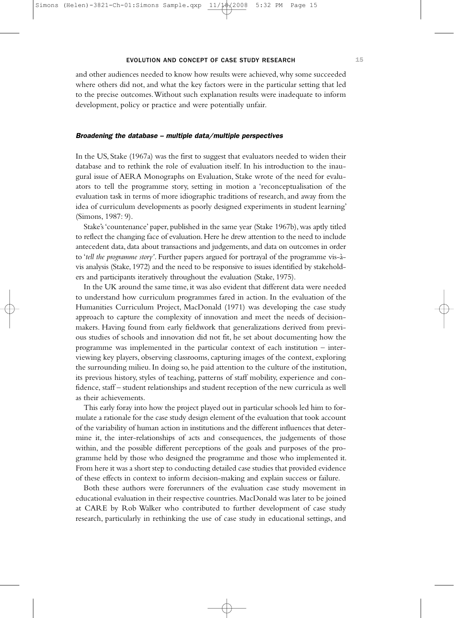# Simons (Helen)-3821-Ch-01:Simons Sample.qxp  $11/4\frac{1}{4}2008$  5:32

# EVOLUTION AND CONCEPT OF CASE STUDY RESEARCH **15**

and other audiences needed to know how results were achieved, why some succeeded where others did not, and what the key factors were in the particular setting that led to the precise outcomes.Without such explanation results were inadequate to inform development, policy or practice and were potentially unfair.

# *Broadening the database – multiple data/multiple perspectives*

In the US, Stake (1967a) was the first to suggest that evaluators needed to widen their database and to rethink the role of evaluation itself. In his introduction to the inaugural issue of AERA Monographs on Evaluation, Stake wrote of the need for evaluators to tell the programme story, setting in motion a 'reconceptualisation of the evaluation task in terms of more idiographic traditions of research, and away from the idea of curriculum developments as poorly designed experiments in student learning' (Simons, 1987: 9).

Stake's 'countenance' paper, published in the same year (Stake 1967b), was aptly titled to reflect the changing face of evaluation.Here he drew attention to the need to include antecedent data, data about transactions and judgements,and data on outcomes in order to '*tell the programme story'*. Further papers argued for portrayal of the programme vis-àvis analysis (Stake, 1972) and the need to be responsive to issues identified by stakeholders and participants iteratively throughout the evaluation (Stake, 1975).

In the UK around the same time, it was also evident that different data were needed to understand how curriculum programmes fared in action. In the evaluation of the Humanities Curriculum Project, MacDonald (1971) was developing the case study approach to capture the complexity of innovation and meet the needs of decisionmakers. Having found from early fieldwork that generalizations derived from previous studies of schools and innovation did not fit, he set about documenting how the programme was implemented in the particular context of each institution – interviewing key players, observing classrooms, capturing images of the context, exploring the surrounding milieu.In doing so, he paid attention to the culture of the institution, its previous history, styles of teaching, patterns of staff mobility, experience and confidence, staff – student relationships and student reception of the new curricula as well as their achievements.

This early foray into how the project played out in particular schools led him to formulate a rationale for the case study design element of the evaluation that took account of the variability of human action in institutions and the different influences that determine it, the inter-relationships of acts and consequences, the judgements of those within, and the possible different perceptions of the goals and purposes of the programme held by those who designed the programme and those who implemented it. From here it was a short step to conducting detailed case studies that provided evidence of these effects in context to inform decision-making and explain success or failure.

Both these authors were forerunners of the evaluation case study movement in educational evaluation in their respective countries.MacDonald was later to be joined at CARE by Rob Walker who contributed to further development of case study research, particularly in rethinking the use of case study in educational settings, and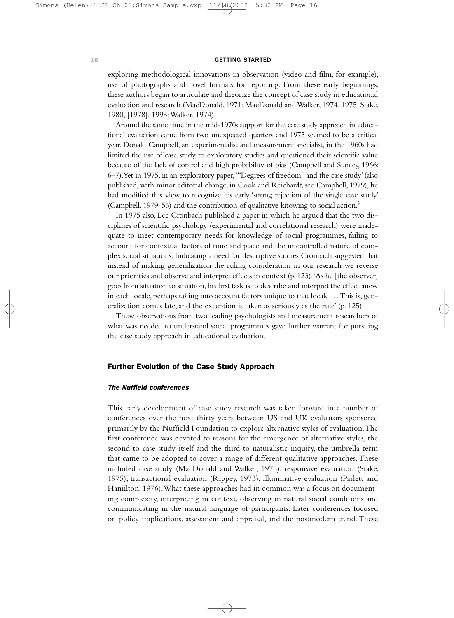exploring methodological innovations in observation (video and film, for example), use of photographs and novel formats for reporting. From these early beginnings, these authors began to articulate and theorize the concept of case study in educational evaluation and research (MacDonald, 1971; MacDonald and Walker, 1974, 1975; Stake, 1980, [1978], 1995;Walker, 1974).

Around the same time in the mid-1970s support for the case study approach in educational evaluation came from two unexpected quarters and 1975 seemed to be a critical year. Donald Campbell, an experimentalist and measurement specialist, in the 1960s had limited the use of case study to exploratory studies and questioned their scientific value because of the lack of control and high probability of bias (Campbell and Stanley, 1966: 6–7).Yet in 1975, in an exploratory paper,'"Degrees of freedom" and the case study' (also published, with minor editorial change, in Cook and Reichardt, see Campbell, 1979), he had modified this view to recognize his early 'strong rejection of the single case study' (Campbell, 1979; 56) and the contribution of qualitative knowing to social action.<sup>3</sup>

In 1975 also, Lee Cronbach published a paper in which he argued that the two disciplines of scientific psychology (experimental and correlational research) were inadequate to meet contemporary needs for knowledge of social programmes, failing to account for contextual factors of time and place and the uncontrolled nature of complex social situations.Indicating a need for descriptive studies Cronbach suggested that instead of making generalization the ruling consideration in our research we reverse our priorities and observe and interpret effects in context (p. 123).'As he [the observer] goes from situation to situation, his first task is to describe and interpret the effect anew in each locale, perhaps taking into account factors unique to that locale …This is, generalization comes late, and the exception is taken as seriously as the rule' (p. 125).

These observations from two leading psychologists and measurement researchers of what was needed to understand social programmes gave further warrant for pursuing the case study approach in educational evaluation.

# **Further Evolution of the Case Study Approach**

# *The Nuffield conferences*

This early development of case study research was taken forward in a number of conferences over the next thirty years between US and UK evaluators sponsored primarily by the Nuffield Foundation to explore alternative styles of evaluation.The first conference was devoted to reasons for the emergence of alternative styles, the second to case study itself and the third to naturalistic inquiry, the umbrella term that came to be adopted to cover a range of different qualitative approaches.These included case study (MacDonald and Walker, 1975), responsive evaluation (Stake, 1975), transactional evaluation (Rippey, 1973), illuminative evaluation (Parlett and Hamilton, 1976).What these approaches had in common was a focus on documenting complexity, interpreting in context, observing in natural social conditions and communicating in the natural language of participants. Later conferences focused on policy implications, assessment and appraisal, and the postmodern trend.These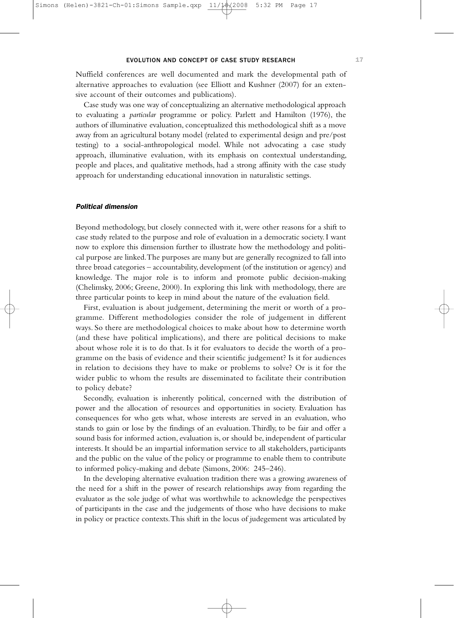Nuffield conferences are well documented and mark the developmental path of alternative approaches to evaluation (see Elliott and Kushner (2007) for an extensive account of their outcomes and publications).

Case study was one way of conceptualizing an alternative methodological approach to evaluating a *particular* programme or policy. Parlett and Hamilton (1976), the authors of illuminative evaluation, conceptualized this methodological shift as a move away from an agricultural botany model (related to experimental design and pre/post testing) to a social-anthropological model. While not advocating a case study approach, illuminative evaluation, with its emphasis on contextual understanding, people and places, and qualitative methods, had a strong affinity with the case study approach for understanding educational innovation in naturalistic settings.

#### *Political dimension*

Beyond methodology, but closely connected with it, were other reasons for a shift to case study related to the purpose and role of evaluation in a democratic society.I want now to explore this dimension further to illustrate how the methodology and political purpose are linked.The purposes are many but are generally recognized to fall into three broad categories – accountability, development (of the institution or agency) and knowledge. The major role is to inform and promote public decision-making (Chelimsky, 2006; Greene, 2000). In exploring this link with methodology, there are three particular points to keep in mind about the nature of the evaluation field.

First, evaluation is about judgement, determining the merit or worth of a programme. Different methodologies consider the role of judgement in different ways. So there are methodological choices to make about how to determine worth (and these have political implications), and there are political decisions to make about whose role it is to do that. Is it for evaluators to decide the worth of a programme on the basis of evidence and their scientific judgement? Is it for audiences in relation to decisions they have to make or problems to solve? Or is it for the wider public to whom the results are disseminated to facilitate their contribution to policy debate?

Secondly, evaluation is inherently political, concerned with the distribution of power and the allocation of resources and opportunities in society. Evaluation has consequences for who gets what, whose interests are served in an evaluation, who stands to gain or lose by the findings of an evaluation.Thirdly, to be fair and offer a sound basis for informed action, evaluation is, or should be, independent of particular interests. It should be an impartial information service to all stakeholders, participants and the public on the value of the policy or programme to enable them to contribute to informed policy-making and debate (Simons, 2006: 245–246).

In the developing alternative evaluation tradition there was a growing awareness of the need for a shift in the power of research relationships away from regarding the evaluator as the sole judge of what was worthwhile to acknowledge the perspectives of participants in the case and the judgements of those who have decisions to make in policy or practice contexts.This shift in the locus of judegement was articulated by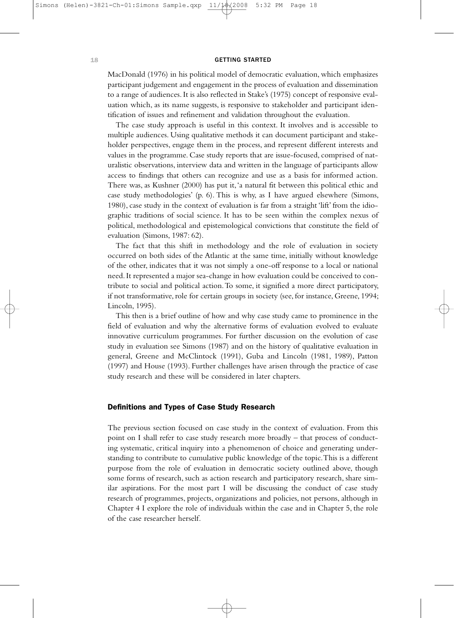MacDonald (1976) in his political model of democratic evaluation, which emphasizes participant judgement and engagement in the process of evaluation and dissemination

to a range of audiences.It is also reflected in Stake's (1975) concept of responsive evaluation which, as its name suggests, is responsive to stakeholder and participant identification of issues and refinement and validation throughout the evaluation.

The case study approach is useful in this context. It involves and is accessible to multiple audiences. Using qualitative methods it can document participant and stakeholder perspectives, engage them in the process, and represent different interests and values in the programme. Case study reports that are issue-focused, comprised of naturalistic observations, interview data and written in the language of participants allow access to findings that others can recognize and use as a basis for informed action. There was, as Kushner (2000) has put it,'a natural fit between this political ethic and case study methodologies' (p. 6). This is why, as I have argued elsewhere (Simons, 1980), case study in the context of evaluation is far from a straight 'lift' from the idiographic traditions of social science. It has to be seen within the complex nexus of political, methodological and epistemological convictions that constitute the field of evaluation (Simons, 1987: 62).

The fact that this shift in methodology and the role of evaluation in society occurred on both sides of the Atlantic at the same time, initially without knowledge of the other, indicates that it was not simply a one-off response to a local or national need.It represented a major sea-change in how evaluation could be conceived to contribute to social and political action.To some, it signified a more direct participatory, if not transformative, role for certain groups in society (see, for instance, Greene, 1994; Lincoln, 1995).

This then is a brief outline of how and why case study came to prominence in the field of evaluation and why the alternative forms of evaluation evolved to evaluate innovative curriculum programmes. For further discussion on the evolution of case study in evaluation see Simons (1987) and on the history of qualitative evaluation in general, Greene and McClintock (1991), Guba and Lincoln (1981, 1989), Patton (1997) and House (1993). Further challenges have arisen through the practice of case study research and these will be considered in later chapters.

# **Definitions and Types of Case Study Research**

The previous section focused on case study in the context of evaluation. From this point on I shall refer to case study research more broadly – that process of conducting systematic, critical inquiry into a phenomenon of choice and generating understanding to contribute to cumulative public knowledge of the topic.This is a different purpose from the role of evaluation in democratic society outlined above, though some forms of research, such as action research and participatory research, share similar aspirations. For the most part I will be discussing the conduct of case study research of programmes, projects, organizations and policies, not persons, although in Chapter 4 I explore the role of individuals within the case and in Chapter 5, the role of the case researcher herself.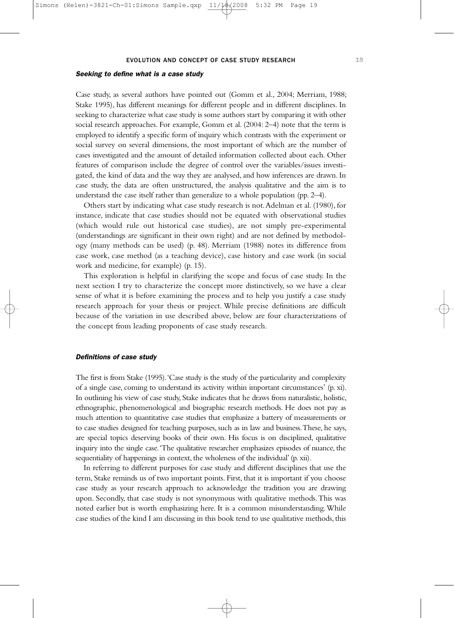#### *Seeking to define what is a case study*

Case study, as several authors have pointed out (Gomm et al., 2004; Merriam, 1988; Stake 1995), has different meanings for different people and in different disciplines. In seeking to characterize what case study is some authors start by comparing it with other social research approaches. For example, Gomm et al. (2004: 2–4) note that the term is employed to identify a specific form of inquiry which contrasts with the experiment or social survey on several dimensions, the most important of which are the number of cases investigated and the amount of detailed information collected about each. Other features of comparison include the degree of control over the variables/issues investigated, the kind of data and the way they are analysed, and how inferences are drawn. In case study, the data are often unstructured, the analysis qualitative and the aim is to understand the case itself rather than generalize to a whole population (pp. 2–4).

Others start by indicating what case study research is not.Adelman et al. (1980), for instance, indicate that case studies should not be equated with observational studies (which would rule out historical case studies), are not simply pre-experimental (understandings are significant in their own right) and are not defined by methodology (many methods can be used) (p. 48). Merriam (1988) notes its difference from case work, case method (as a teaching device), case history and case work (in social work and medicine, for example) (p. 15).

This exploration is helpful in clarifying the scope and focus of case study. In the next section I try to characterize the concept more distinctively, so we have a clear sense of what it is before examining the process and to help you justify a case study research approach for your thesis or project. While precise definitions are difficult because of the variation in use described above, below are four characterizations of the concept from leading proponents of case study research.

# *Definitions of case study*

The first is from Stake (1995).'Case study is the study of the particularity and complexity of a single case, coming to understand its activity within important circumstances' (p. xi). In outlining his view of case study, Stake indicates that he draws from naturalistic, holistic, ethnographic, phenomenological and biographic research methods. He does not pay as much attention to quantitative case studies that emphasize a battery of measurements or to case studies designed for teaching purposes, such as in law and business.These, he says, are special topics deserving books of their own. His focus is on disciplined, qualitative inquiry into the single case.'The qualitative researcher emphasizes episodes of nuance, the sequentiality of happenings in context, the wholeness of the individual' (p. xii).

In referring to different purposes for case study and different disciplines that use the term, Stake reminds us of two important points. First, that it is important if you choose case study as your research approach to acknowledge the tradition you are drawing upon. Secondly, that case study is not synonymous with qualitative methods.This was noted earlier but is worth emphasizing here. It is a common misunderstanding.While case studies of the kind I am discussing in this book tend to use qualitative methods, this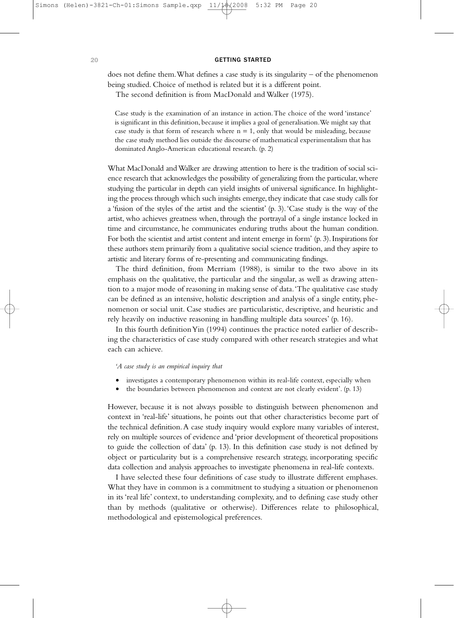does not define them.What defines a case study is its singularity – of the phenomenon being studied. Choice of method is related but it is a different point.

The second definition is from MacDonald and Walker (1975).

Case study is the examination of an instance in action.The choice of the word 'instance' is significant in this definition, because it implies a goal of generalisation.We might say that case study is that form of research where  $n = 1$ , only that would be misleading, because the case study method lies outside the discourse of mathematical experimentalism that has dominated Anglo-American educational research. (p. 2)

What MacDonald andWalker are drawing attention to here is the tradition of social science research that acknowledges the possibility of generalizing from the particular, where studying the particular in depth can yield insights of universal significance. In highlighting the process through which such insights emerge, they indicate that case study calls for a 'fusion of the styles of the artist and the scientist' (p. 3).'Case study is the way of the artist, who achieves greatness when, through the portrayal of a single instance locked in time and circumstance, he communicates enduring truths about the human condition. For both the scientist and artist content and intent emerge in form' (p. 3). Inspirations for these authors stem primarily from a qualitative social science tradition,and they aspire to artistic and literary forms of re-presenting and communicating findings.

The third definition, from Merriam (1988), is similar to the two above in its emphasis on the qualitative, the particular and the singular, as well as drawing attention to a major mode of reasoning in making sense of data.'The qualitative case study can be defined as an intensive, holistic description and analysis of a single entity, phenomenon or social unit. Case studies are particularistic, descriptive, and heuristic and rely heavily on inductive reasoning in handling multiple data sources' (p. 16).

In this fourth definitionYin (1994) continues the practice noted earlier of describing the characteristics of case study compared with other research strategies and what each can achieve.

*'A case study is an empirical inquiry that*

- investigates a contemporary phenomenon within its real-life context, especially when
- the boundaries between phenomenon and context are not clearly evident'. (p. 13)

However, because it is not always possible to distinguish between phenomenon and context in 'real-life' situations, he points out that other characteristics become part of the technical definition.A case study inquiry would explore many variables of interest, rely on multiple sources of evidence and 'prior development of theoretical propositions to guide the collection of data' (p. 13). In this definition case study is not defined by object or particularity but is a comprehensive research strategy, incorporating specific data collection and analysis approaches to investigate phenomena in real-life contexts.

I have selected these four definitions of case study to illustrate different emphases. What they have in common is a commitment to studying a situation or phenomenon in its 'real life' context, to understanding complexity, and to defining case study other than by methods (qualitative or otherwise). Differences relate to philosophical, methodological and epistemological preferences.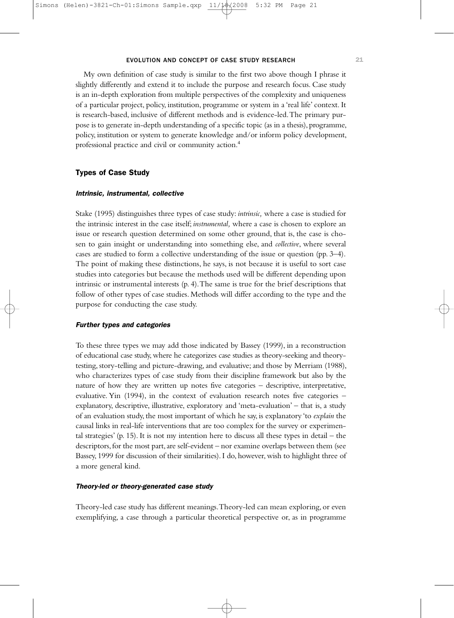My own definition of case study is similar to the first two above though I phrase it slightly differently and extend it to include the purpose and research focus. Case study is an in-depth exploration from multiple perspectives of the complexity and uniqueness of a particular project, policy, institution, programme or system in a'real life' context. It is research-based, inclusive of different methods and is evidence-led.The primary purpose is to generate in-depth understanding of a specific topic (as in a thesis), programme, policy, institution or system to generate knowledge and/or inform policy development, professional practice and civil or community action. 4

# **Types of Case Study**

# *Intrinsic, instrumental, collective*

Stake (1995) distinguishes three types of case study: *intrinsic,* where a case is studied for the intrinsic interest in the case itself; *instrumental,* where a case is chosen to explore an issue or research question determined on some other ground, that is, the case is chosen to gain insight or understanding into something else, and *collective*, where several cases are studied to form a collective understanding of the issue or question (pp. 3–4). The point of making these distinctions, he says, is not because it is useful to sort case studies into categories but because the methods used will be different depending upon intrinsic or instrumental interests (p. 4).The same is true for the brief descriptions that follow of other types of case studies. Methods will differ according to the type and the purpose for conducting the case study.

#### *Further types and categories*

To these three types we may add those indicated by Bassey (1999), in a reconstruction of educational case study,where he categorizes case studies as theory-seeking and theorytesting, story-telling and picture-drawing,and evaluative;and those by Merriam (1988), who characterizes types of case study from their discipline framework but also by the nature of how they are written up notes five categories – descriptive, interpretative, evaluative. Yin (1994), in the context of evaluation research notes five categories – explanatory, descriptive, illustrative, exploratory and 'meta-evaluation' – that is, a study of an evaluation study, the most important of which he say, is explanatory 'to *explain* the causal links in real-life interventions that are too complex for the survey or experimental strategies' (p. 15). It is not my intention here to discuss all these types in detail – the descriptors,for the most part,are self-evident – nor examine overlaps between them (see Bassey, 1999 for discussion of their similarities).I do, however, wish to highlight three of a more general kind.

# *Theory-led or theory-generated case study*

Theory-led case study has different meanings.Theory-led can mean exploring, or even exemplifying, a case through a particular theoretical perspective or, as in programme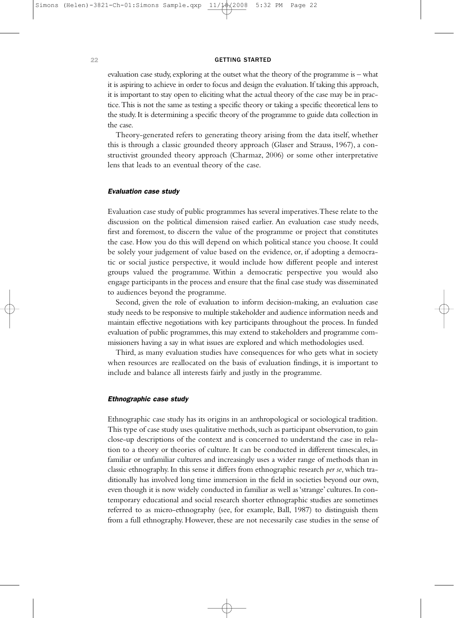evaluation case study, exploring at the outset what the theory of the programme is – what it is aspiring to achieve in order to focus and design the evaluation.If taking this approach, it is important to stay open to eliciting what the actual theory of the case may be in practice.This is not the same as testing a specific theory or taking a specific theoretical lens to the study.It is determining a specific theory of the programme to guide data collection in the case.

Theory-generated refers to generating theory arising from the data itself, whether this is through a classic grounded theory approach (Glaser and Strauss, 1967), a constructivist grounded theory approach (Charmaz, 2006) or some other interpretative lens that leads to an eventual theory of the case.

# *Evaluation case study*

Evaluation case study of public programmes has several imperatives.These relate to the discussion on the political dimension raised earlier. An evaluation case study needs, first and foremost, to discern the value of the programme or project that constitutes the case. How you do this will depend on which political stance you choose. It could be solely your judgement of value based on the evidence, or, if adopting a democratic or social justice perspective, it would include how different people and interest groups valued the programme. Within a democratic perspective you would also engage participants in the process and ensure that the final case study was disseminated to audiences beyond the programme.

Second, given the role of evaluation to inform decision-making, an evaluation case study needs to be responsive to multiple stakeholder and audience information needs and maintain effective negotiations with key participants throughout the process. In funded evaluation of public programmes, this may extend to stakeholders and programme commissioners having a say in what issues are explored and which methodologies used.

Third, as many evaluation studies have consequences for who gets what in society when resources are reallocated on the basis of evaluation findings, it is important to include and balance all interests fairly and justly in the programme.

# *Ethnographic case study*

Ethnographic case study has its origins in an anthropological or sociological tradition. This type of case study uses qualitative methods, such as participant observation, to gain close-up descriptions of the context and is concerned to understand the case in relation to a theory or theories of culture. It can be conducted in different timescales, in familiar or unfamiliar cultures and increasingly uses a wider range of methods than in classic ethnography.In this sense it differs from ethnographic research *per se*, which traditionally has involved long time immersion in the field in societies beyond our own, even though it is now widely conducted in familiar as well as 'strange' cultures.In contemporary educational and social research shorter ethnographic studies are sometimes referred to as micro-ethnography (see, for example, Ball, 1987) to distinguish them from a full ethnography. However, these are not necessarily case studies in the sense of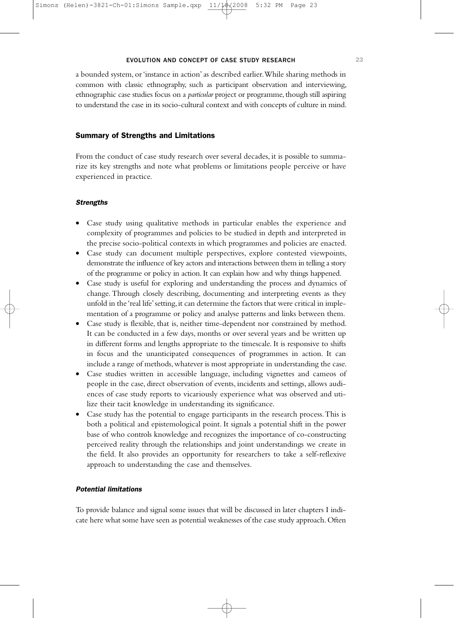a bounded system, or'instance in action'as described earlier.While sharing methods in common with classic ethnography, such as participant observation and interviewing, ethnographic case studies focus on a *particular* project or programme, though still aspiring to understand the case in its socio-cultural context and with concepts of culture in mind.

# **Summary of Strengths and Limitations**

Simons (Helen)-3821-Ch-01:Simons Sample.qxp  $11/14\frac{1}{8}$  2008 5:32

From the conduct of case study research over several decades, it is possible to summarize its key strengths and note what problems or limitations people perceive or have experienced in practice.

# *Strengths*

- Case study using qualitative methods in particular enables the experience and complexity of programmes and policies to be studied in depth and interpreted in the precise socio-political contexts in which programmes and policies are enacted.
- Case study can document multiple perspectives, explore contested viewpoints, demonstrate the influence of key actors and interactions between them in telling a story of the programme or policy in action.It can explain how and why things happened.
- Case study is useful for exploring and understanding the process and dynamics of change.Through closely describing, documenting and interpreting events as they unfold in the 'real life'setting,it can determine the factors that were critical in implementation of a programme or policy and analyse patterns and links between them.
- Case study is flexible, that is, neither time-dependent nor constrained by method. It can be conducted in a few days, months or over several years and be written up in different forms and lengths appropriate to the timescale. It is responsive to shifts in focus and the unanticipated consequences of programmes in action. It can include a range of methods,whatever is most appropriate in understanding the case.
- Case studies written in accessible language, including vignettes and cameos of people in the case, direct observation of events, incidents and settings, allows audiences of case study reports to vicariously experience what was observed and utilize their tacit knowledge in understanding its significance.
- Case study has the potential to engage participants in the research process.This is both a political and epistemological point. It signals a potential shift in the power base of who controls knowledge and recognizes the importance of co-constructing perceived reality through the relationships and joint understandings we create in the field. It also provides an opportunity for researchers to take a self-reflexive approach to understanding the case and themselves.

# *Potential limitations*

To provide balance and signal some issues that will be discussed in later chapters I indicate here what some have seen as potential weaknesses of the case study approach.Often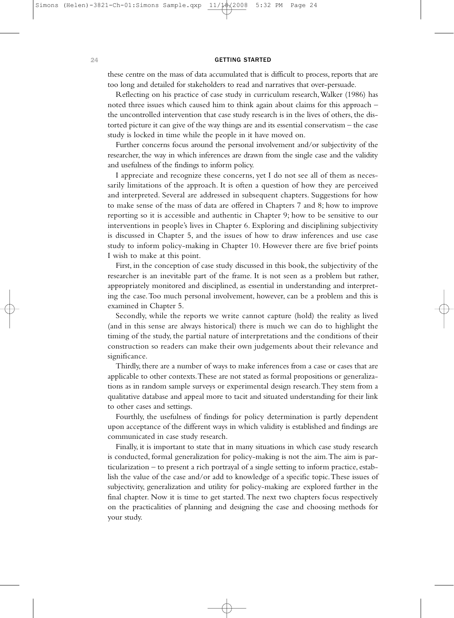these centre on the mass of data accumulated that is difficult to process, reports that are too long and detailed for stakeholders to read and narratives that over-persuade.

Reflecting on his practice of case study in curriculum research,Walker (1986) has noted three issues which caused him to think again about claims for this approach – the uncontrolled intervention that case study research is in the lives of others, the distorted picture it can give of the way things are and its essential conservatism – the case study is locked in time while the people in it have moved on.

Further concerns focus around the personal involvement and/or subjectivity of the researcher, the way in which inferences are drawn from the single case and the validity and usefulness of the findings to inform policy.

I appreciate and recognize these concerns, yet I do not see all of them as necessarily limitations of the approach. It is often a question of how they are perceived and interpreted. Several are addressed in subsequent chapters. Suggestions for how to make sense of the mass of data are offered in Chapters 7 and 8; how to improve reporting so it is accessible and authentic in Chapter 9; how to be sensitive to our interventions in people's lives in Chapter 6. Exploring and disciplining subjectivity is discussed in Chapter 5, and the issues of how to draw inferences and use case study to inform policy-making in Chapter 10. However there are five brief points I wish to make at this point.

First, in the conception of case study discussed in this book, the subjectivity of the researcher is an inevitable part of the frame. It is not seen as a problem but rather, appropriately monitored and disciplined, as essential in understanding and interpreting the case.Too much personal involvement, however, can be a problem and this is examined in Chapter 5.

Secondly, while the reports we write cannot capture (hold) the reality as lived (and in this sense are always historical) there is much we can do to highlight the timing of the study, the partial nature of interpretations and the conditions of their construction so readers can make their own judgements about their relevance and significance.

Thirdly, there are a number of ways to make inferences from a case or cases that are applicable to other contexts.These are not stated as formal propositions or generalizations as in random sample surveys or experimental design research.They stem from a qualitative database and appeal more to tacit and situated understanding for their link to other cases and settings.

Fourthly, the usefulness of findings for policy determination is partly dependent upon acceptance of the different ways in which validity is established and findings are communicated in case study research.

Finally, it is important to state that in many situations in which case study research is conducted, formal generalization for policy-making is not the aim.The aim is particularization – to present a rich portrayal of a single setting to inform practice, establish the value of the case and/or add to knowledge of a specific topic.These issues of subjectivity, generalization and utility for policy-making are explored further in the final chapter. Now it is time to get started.The next two chapters focus respectively on the practicalities of planning and designing the case and choosing methods for your study.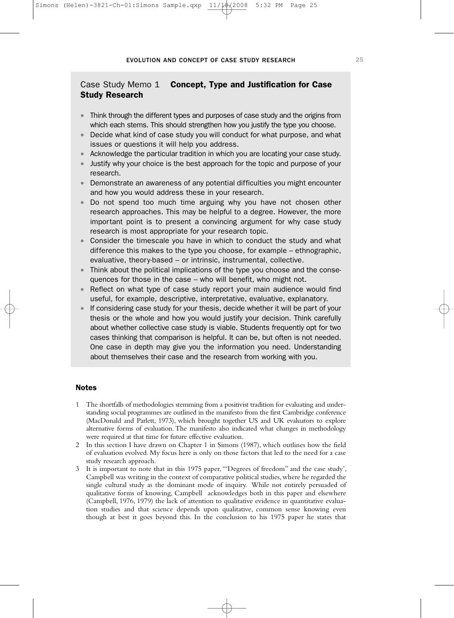# Simons (Helen)-3821-Ch-01:Simons Sample.qxp 11/18/2008 5:32 PM Page 25

**Study Research**

Case Study Memo 1 **Concept, Type and Justification for Case**

- Think through the different types and purposes of case study and the origins from which each stems. This should strengthen how you justify the type you choose.
- Decide what kind of case study you will conduct for what purpose, and what issues or questions it will help you address.
- Acknowledge the particular tradition in which you are locating your case study.
- Justify why your choice is the best approach for the topic and purpose of your research.
- Demonstrate an awareness of any potential difficulties you might encounter and how you would address these in your research.
- Do not spend too much time arguing why you have not chosen other research approaches. This may be helpful to a degree. However, the more important point is to present a convincing argument for why case study research is most appropriate for your research topic.
- Consider the timescale you have in which to conduct the study and what difference this makes to the type you choose, for example – ethnographic, evaluative, theory-based – or intrinsic, instrumental, collective.
- Think about the political implications of the type you choose and the consequences for those in the case – who will benefit, who might not.
- Reflect on what type of case study report your main audience would find useful, for example, descriptive, interpretative, evaluative, explanatory.
- If considering case study for your thesis, decide whether it will be part of your thesis or the whole and how you would justify your decision. Think carefully about whether collective case study is viable. Students frequently opt for two cases thinking that comparison is helpful. It can be, but often is not needed. One case in depth may give you the information you need. Understanding about themselves their case and the research from working with you.

# **Notes**

- 1 The shortfalls of methodologies stemming from a positivist tradition for evaluating and understanding social programmes are outlined in the manifesto from the first Cambridge conference (MacDonald and Parlett, 1973), which brought together US and UK evaluators to explore alternative forms of evaluation.The manifesto also indicated what changes in methodology were required at that time for future effective evaluation.
- 2 In this section I have drawn on Chapter 1 in Simons (1987), which outlines how the field of evaluation evolved. My focus here is only on those factors that led to the need for a case study research approach.
- 3 It is important to note that in this 1975 paper, '"Degrees of freedom" and the case study', Campbell was writing in the context of comparative political studies, where he regarded the single cultural study as the dominant mode of inquiry. While not entirely persuaded of qualitative forms of knowing, Campbell acknowledges both in this paper and elsewhere (Campbell, 1976, 1979) the lack of attention to qualitative evidence in quantitative evaluation studies and that science depends upon qualitative, common sense knowing even though at best it goes beyond this. In the conclusion to his 1975 paper he states that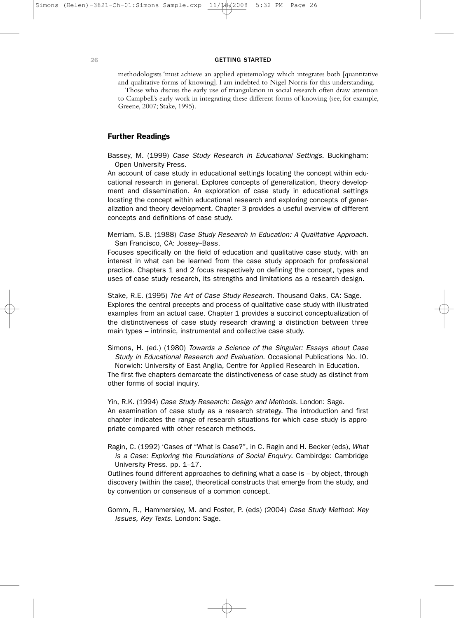methodologists 'must achieve an applied epistemology which integrates both [quantitative and qualitative forms of knowing]. I am indebted to Nigel Norris for this understanding.

Those who discuss the early use of triangulation in social research often draw attention to Campbell's early work in integrating these different forms of knowing (see, for example, Greene, 2007; Stake, 1995).

# **Further Readings**

Bassey, M. (1999) *Case Study Research in Educational Settings*. Buckingham: Open University Press.

An account of case study in educational settings locating the concept within educational research in general. Explores concepts of generalization, theory development and dissemination. An exploration of case study in educational settings locating the concept within educational research and exploring concepts of generalization and theory development. Chapter 3 provides a useful overview of different concepts and definitions of case study.

Merriam, S.B. (1988) *Case Study Research in Education: A Qualitative Approach*. San Francisco, CA: Jossey–Bass.

Focuses specifically on the field of education and qualitative case study, with an interest in what can be learned from the case study approach for professional practice. Chapters 1 and 2 focus respectively on defining the concept, types and uses of case study research, its strengths and limitations as a research design.

Stake, R.E. (1995) *The Art of Case Study Research*. Thousand Oaks, CA: Sage. Explores the central precepts and process of qualitative case study with illustrated examples from an actual case. Chapter 1 provides a succinct conceptualization of the distinctiveness of case study research drawing a distinction between three main types – intrinsic, instrumental and collective case study.

Simons, H. (ed.) (1980) *Towards a Science of the Singular: Essays about Case Study in Educational Research and Evaluation*. Occasional Publications No. I0. Norwich: University of East Anglia, Centre for Applied Research in Education.

The first five chapters demarcate the distinctiveness of case study as distinct from other forms of social inquiry.

Yin, R.K. (1994) *Case Study Research: Design and Methods.* London: Sage.

An examination of case study as a research strategy. The introduction and first chapter indicates the range of research situations for which case study is appropriate compared with other research methods.

Ragin, C. (1992) 'Cases of "What is Case?", in C. Ragin and H. Becker (eds), *What is a Case: Exploring the Foundations of Social Enquiry*. Cambirdge: Cambridge University Press. pp. 1–17.

Outlines found different approaches to defining what a case is – by object, through discovery (within the case), theoretical constructs that emerge from the study, and by convention or consensus of a common concept.

Gomm, R., Hammersley, M. and Foster, P. (eds) (2004) *Case Study Method: Key Issues, Key Texts.* London: Sage.